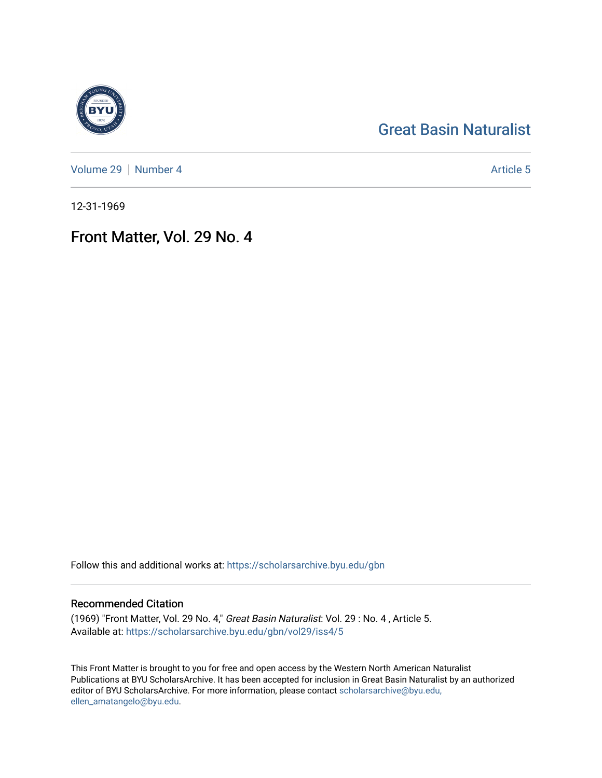## [Great Basin Naturalist](https://scholarsarchive.byu.edu/gbn)

[Volume 29](https://scholarsarchive.byu.edu/gbn/vol29) | [Number 4](https://scholarsarchive.byu.edu/gbn/vol29/iss4) Article 5

12-31-1969

## Front Matter, Vol. 29 No. 4

Follow this and additional works at: [https://scholarsarchive.byu.edu/gbn](https://scholarsarchive.byu.edu/gbn?utm_source=scholarsarchive.byu.edu%2Fgbn%2Fvol29%2Fiss4%2F5&utm_medium=PDF&utm_campaign=PDFCoverPages) 

### Recommended Citation

(1969) "Front Matter, Vol. 29 No. 4," Great Basin Naturalist: Vol. 29 : No. 4 , Article 5. Available at: [https://scholarsarchive.byu.edu/gbn/vol29/iss4/5](https://scholarsarchive.byu.edu/gbn/vol29/iss4/5?utm_source=scholarsarchive.byu.edu%2Fgbn%2Fvol29%2Fiss4%2F5&utm_medium=PDF&utm_campaign=PDFCoverPages)

This Front Matter is brought to you for free and open access by the Western North American Naturalist Publications at BYU ScholarsArchive. It has been accepted for inclusion in Great Basin Naturalist by an authorized editor of BYU ScholarsArchive. For more information, please contact [scholarsarchive@byu.edu,](mailto:scholarsarchive@byu.edu,%20ellen_amatangelo@byu.edu) [ellen\\_amatangelo@byu.edu](mailto:scholarsarchive@byu.edu,%20ellen_amatangelo@byu.edu).

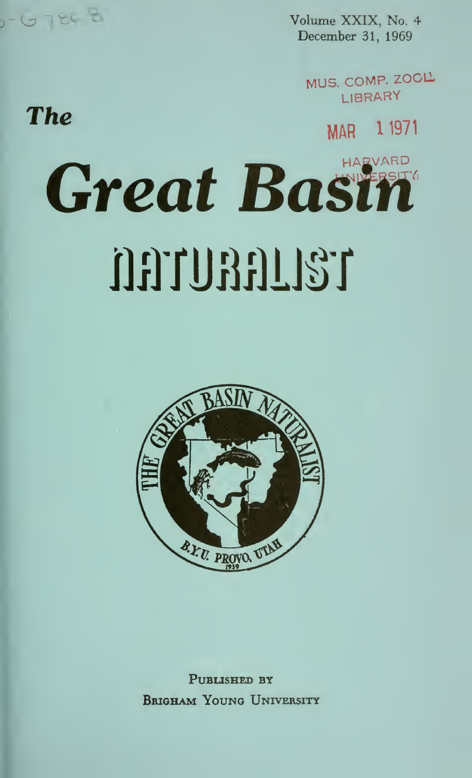Volume XXIX, No. 4 December 31, 1969

> MUS, COMP. ZOOL LIBRARY

> > MAR 1 1971

# **Great Basil** DETURELLST

EL E

**The** 



PUBLISHED BY **BRIGHAM YOUNG UNIVERSITY**